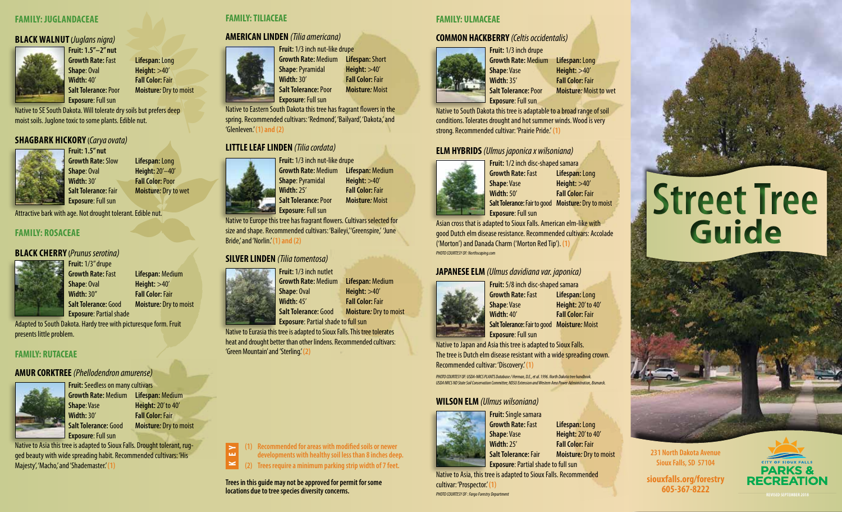#### **FAMILY: JUGLANDACEAE**

#### **BLACK WALNUT (***Juglans nigra)*



### **Fruit: 1.5"–2" nut Growth Rate:** Fast **Lifespan:** Long **Shape**: Oval **Height:** >40' **Width:** 40' **Fall Color:** Fair **Exposure**: Full sun

Native to SE South Dakota. Will tolerate dry soils but prefers deep moist soils. Juglone toxic to some plants. Edible nut.

# **SHAGBARK HICKORY (***Carya ovata)*



**Fruit: 1.5" nut**

**Growth Rate:** Slow **Lifespan:** Long **Shape**: Oval **Height:** 20'–40' **Width:** 30' **Fall Color:** Poor **Salt Tolerance:** Fair **Moisture***:* Dry to wet **Exposure**: Full sun

Attractive bark with age. Not drought tolerant. Edible nut.

#### **FAMILY: ROSACEAE**

#### **BLACK CHERRY (***Prunus serotina)*



**Fruit:** 1/3" drupe **Growth Rate:** Fast **Lifespan:** Medium **Shape**: Oval **Height:** >40' **Width:** 30" **Fall Color:** Fair **Salt Tolerance:** Good **Moisture***:* Dry to moist **Exposure**: Partial shade

Adapted to South Dakota. Hardy tree with picturesque form. Fruit presents little problem.

#### **FAMILY: RUTACEAE**

# **AMUR CORKTREE** *(Phellodendron amurense)*



**Fruit:** Seedless on many cultivars **Growth Rate:** Medium **Lifespan:** Medium **Shape**: Vase **Height:** 20' to 40' **Width:** 30' **Fall Color:** Fair **Salt Tolerance:** Good **Moisture***:* Dry to moist **Exposure**: Full sun

Native to Asia this tree is adapted to Sioux Falls. Drought tolerant, rugged beauty with wide spreading habit. Recommended cultivars: 'His Majesty', 'Macho,' and 'Shademaster.' **(1)** 

#### **FAMILY: TILIACEAE**

'Glenleven.' **(1) and (2)**

## **AMERICAN LINDEN** *(Tilia americana)*



**LITTLE LEAF LINDEN** *(Tilia cordata)* 

**Growth Rate:** Medium **Lifespan:** Short **Shape**: Pyramidal **Height:** >40' **Width:** 30' **Fall Color:** Fair **Salt Tolerance:** Poor **Moisture***:* Moist

#### **FAMILY: ULMACEAE**

#### **COMMON HACKBERRY** *(Celtis occidentalis)*



**Fruit:** 1/3 inch drupe **Growth Rate:** Medium **Lifespan:** Long **Shape**: Vase **Height:** >40' **Width:** 35' **Fall Color:** Fair **Salt Tolerance:** Poor **Moisture***:* Moist to wet **Exposure**: Full sun

Native to South Dakota this tree is adaptable to a broad range of soil conditions. Tolerates drought and hot summer winds. Wood is very strong. Recommended cultivar: 'Prairie Pride.' **(1)**

# **ELM HYBRIDS** *(Ulmus japonica x wilsoniana)*



**Fruit:** 1/2 inch disc-shaped samara **Growth Rate:** Fast **Lifespan:** Long **Shape**: Vase **Height:** >40' **Width:** 50' **Fall Color:** Fair **Salt Tolerance:** Fair to good **Moisture***:* Dry to moist **Exposure**: Full sun

Asian cross that is adapted to Sioux Falls. American elm-like with good Dutch elm disease resistance. Recommended cultivars: Accolade ('Morton') and Danada Charm ('Morton Red Tip'). **(1)**  *PHOTO COURTESY OF: Northscaping.com* 

#### **JAPANESE ELM** *(Ulmus davidiana var. japonica)*



**Fruit:** 5/8 inch disc-shaped samara **Growth Rate:** Fast **Lifespan:** Long **Shape**: Vase **Height:** 20' to 40' **Width:** 40' **Fall Color:** Fair **Salt Tolerance:** Fair to good **Moisture***:* Moist **Exposure**: Full sun

Native to Japan and Asia this tree is adapted to Sioux Falls. The tree is Dutch elm disease resistant with a wide spreading crown. Recommended cultivar: 'Discovery.' **(1)**

*PHOTO COURTESY OF: USDA-NRCS PLANTS Database / Herman, D.E., et al. 1996. North Dakota tree handbook. USDA NRCS ND State Soil Conservation Committee; NDSU Extension and Western Area Power Administration, Bismarck.*

# **WILSON ELM** *(Ulmus wilsoniana)*



**Fruit: Single samara Growth Rate:** Fast **Lifespan:** Long **Shape**: Vase **Height:** 20' to 40' **Width:** 25' **Fall Color:** Fair **Salt Tolerance:** Fair **Moisture***:* Dry to moist **Exposure**: Partial shade to full sun

Native to Asia, this tree is adapted to Sioux Falls. Recommended cultivar: 'Prospector.' **(1)** *PHOTO COURTESY OF : Fargo Forestry Department* 

# **Street Tree Guide**



**231 North Dakota Avenue Sioux Falls, SD 57104**

**siouxfalls.org/forestry 605-367-8222 REVISED SEPTEMBER 2018**



**Shape**: Oval **Height:** >40' **Width:** 45' **Fall Color:** Fair

**Exposure: Partial shade to full sun** Native to Eurasia this tree is adapted to Sioux Falls. This tree tolerates

**(1) Recommended for areas with modified soils or newer developments with healthy soil less than 8 inches deep. (2) Trees require a minimum parking strip width of 7 feet.**

**Fruit:** 1/3 inch nut-like drupe **Growth Rate:** Medium **Lifespan:** Medium **Shape**: Pyramidal **Height:** >40'

Native to Eastern South Dakota this tree has fragrant flowers in the spring. Recommended cultivars: 'Redmond', 'Bailyard', 'Dakota,' and

> **Width:** 25' **Fall Color:** Fair **Salt Tolerance:** Poor **Moisture***:* Moist

Native to Europe this tree has fragrant flowers. Cultivars selected for size and shape. Recommended cultivars: 'Baileyi,''Greenspire,' 'June Bride,' and 'Norlin.' **(1) and (2)**

### **SILVER LINDEN** *(Tilia tomentosa)*

#### **Fruit:** 1/3 inch nutlet

**Growth Rate:** Medium **Lifespan:** Medium



**Salt Tolerance:** Good **Moisture***:* Dry to moist

heat and drought better than other lindens. Recommended cultivars: 'Green Mountain' and 'Sterling.'**(2)**

**K E Y**

**Trees in this guide may not be approved for permit for some locations due to tree species diversity concerns.** 



**Exposure**: Full sun